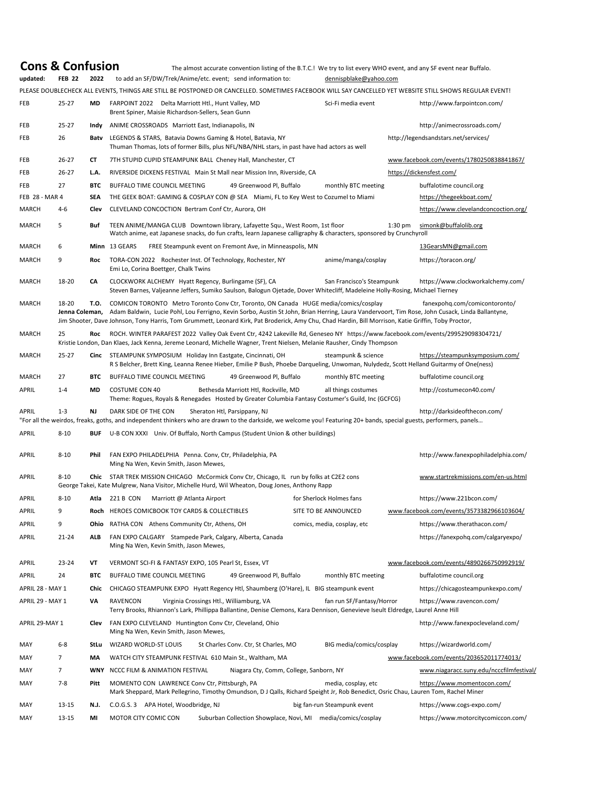**Cons & Confusion**<br>
The almost accurate convention listing of the B.T.C.! We try to list every WHO event, and any SF event near Buffalo.<br>
updated: FEB 22 2022 to add an SF/DW/Trek/Anime/etc. event; send information to: den

**FEB 22 2022** to add an SF/DW/Trek/Anime/etc. event; send information to: [dennispblake@yahoo.com](mailto:dennispblake@yahoo.com)

PLEASE DOUBLECHECK ALL EVENTS, THINGS ARE STILL BE POSTPONED OR CANCELLED. SOMETIMES FACEBOOK WILL SAY CANCELLED YET WEBSITE STILL SHOWS REGULAR EVENT!

| FEB                   | $25 - 27$ | <b>MD</b>   | FARPOINT 2022 Delta Marriott Htl., Hunt Valley, MD<br>Brent Spiner, Maisie Richardson-Sellers, Sean Gunn                                                                                                                                                                                                                                                                                                       | Sci-Fi media event          | http://www.farpointcon.com/               |  |  |  |
|-----------------------|-----------|-------------|----------------------------------------------------------------------------------------------------------------------------------------------------------------------------------------------------------------------------------------------------------------------------------------------------------------------------------------------------------------------------------------------------------------|-----------------------------|-------------------------------------------|--|--|--|
| <b>FEB</b>            | $25 - 27$ | Indy        | ANIME CROSSROADS Marriott East, Indianapolis, IN                                                                                                                                                                                                                                                                                                                                                               |                             | http://animecrossroads.com/               |  |  |  |
| <b>FEB</b>            | 26        | Baty        | LEGENDS & STARS, Batavia Downs Gaming & Hotel, Batavia, NY<br>Thuman Thomas, lots of former Bills, plus NFL/NBA/NHL stars, in past have had actors as well                                                                                                                                                                                                                                                     |                             | http://legendsandstars.net/services/      |  |  |  |
| <b>FEB</b>            | $26 - 27$ | <b>CT</b>   | 7TH STUPID CUPID STEAMPUNK BALL Cheney Hall, Manchester, CT                                                                                                                                                                                                                                                                                                                                                    |                             | www.facebook.com/events/1780250838841867/ |  |  |  |
| FEB                   | $26 - 27$ | L.A.        | RIVERSIDE DICKENS FESTIVAL Main St Mall near Mission Inn, Riverside, CA                                                                                                                                                                                                                                                                                                                                        |                             | https://dickensfest.com/                  |  |  |  |
| <b>FEB</b>            | 27        | <b>BTC</b>  | <b>BUFFALO TIME COUNCIL MEETING</b><br>49 Greenwood Pl, Buffalo                                                                                                                                                                                                                                                                                                                                                | monthly BTC meeting         | buffalotime council.org                   |  |  |  |
| <b>FEB 28 - MAR 4</b> |           | <b>SEA</b>  | THE GEEK BOAT: GAMING & COSPLAY CON @ SEA Miami, FL to Key West to Cozumel to Miami                                                                                                                                                                                                                                                                                                                            |                             | https://thegeekboat.com/                  |  |  |  |
| <b>MARCH</b>          | $4 - 6$   | <b>Clev</b> | CLEVELAND CONCOCTION Bertram Conf Ctr, Aurora, OH                                                                                                                                                                                                                                                                                                                                                              |                             | https://www.clevelandconcoction.org/      |  |  |  |
| <b>MARCH</b>          | 5         | <b>Buf</b>  | TEEN ANIME/MANGA CLUB Downtown library, Lafayette Squ., West Room, 1st floor<br>Watch anime, eat Japanese snacks, do fun crafts, learn Japanese calligraphy & characters, sponsored by Crunchyroll                                                                                                                                                                                                             |                             | $1:30$ pm<br>simonk@buffalolib.org        |  |  |  |
| <b>MARCH</b>          | 6         |             | Minn 13 GEARS<br>FREE Steampunk event on Fremont Ave, in Minneaspolis, MN                                                                                                                                                                                                                                                                                                                                      |                             | 13GearsMN@gmail.com                       |  |  |  |
| <b>MARCH</b>          | 9         | <b>Roc</b>  | TORA-CON 2022 Rochester Inst. Of Technology, Rochester, NY<br>Emi Lo, Corina Boettger, Chalk Twins                                                                                                                                                                                                                                                                                                             | anime/manga/cosplay         | https://toracon.org/                      |  |  |  |
| <b>MARCH</b>          | 18-20     | CA          | https://www.clockworkalchemy.com/<br>CLOCKWORK ALCHEMY Hyatt Regency, Burlingame (SF), CA<br>San Francisco's Steampunk<br>Steven Barnes, Valjeanne Jeffers, Sumiko Saulson, Balogun Ojetade, Dover Whitecliff, Madeleine Holly-Rosing, Michael Tierney                                                                                                                                                         |                             |                                           |  |  |  |
| <b>MARCH</b>          | 18-20     | T.O.        | COMICON TORONTO Metro Toronto Conv Ctr, Toronto, ON Canada HUGE media/comics/cosplay<br>Jenna Coleman, Adam Baldwin, Lucie Pohl, Lou Ferrigno, Kevin Sorbo, Austin St John, Brian Herring, Laura Vandervoort, Tim Rose, John Cusack, Linda Ballantyne,<br>Jim Shooter, Dave Johnson, Tony Harris, Tom Grummett, Leonard Kirk, Pat Broderick, Amy Chu, Chad Hardin, Bill Morrison, Katie Griffin, Toby Proctor, |                             | fanexpohq.com/comicontoronto/             |  |  |  |
| <b>MARCH</b>          | 25        | Roc         | ROCH. WINTER PARAFEST 2022 Valley Oak Event Ctr, 4242 Lakeville Rd, Geneseo NY https://www.facebook.com/events/299529098304721/<br>Kristie London, Dan Klaes, Jack Kenna, Jereme Leonard, Michelle Wagner, Trent Nielsen, Melanie Rausher, Cindy Thompson                                                                                                                                                      |                             |                                           |  |  |  |
| <b>MARCH</b>          | $25 - 27$ |             | Cinc STEAMPUNK SYMPOSIUM Holiday Inn Eastgate, Cincinnati, OH<br>R S Belcher, Brett King, Leanna Renee Hieber, Emilie P Bush, Phoebe Darqueling, Unwoman, Nulydedz, Scott Helland Guitarmy of One(ness)                                                                                                                                                                                                        | steampunk & science         | https://steampunksymposium.com/           |  |  |  |
| <b>MARCH</b>          | 27        | <b>BTC</b>  | <b>BUFFALO TIME COUNCIL MEETING</b><br>49 Greenwood Pl, Buffalo                                                                                                                                                                                                                                                                                                                                                | monthly BTC meeting         | buffalotime council.org                   |  |  |  |
| <b>APRIL</b>          | $1 - 4$   | <b>MD</b>   | <b>COSTUME CON 40</b><br>Bethesda Marriott Htl, Rockville, MD<br>Theme: Rogues, Royals & Renegades Hosted by Greater Columbia Fantasy Costumer's Guild, Inc (GCFCG)                                                                                                                                                                                                                                            | all things costumes         | http://costumecon40.com/                  |  |  |  |
| <b>APRIL</b>          | $1 - 3$   | <b>NJ</b>   | DARK SIDE OF THE CON<br>Sheraton Htl, Parsippany, NJ<br>"For all the weirdos, freaks, goths, and independent thinkers who are drawn to the darkside, we welcome you! Featuring 20+ bands, special guests, performers, panels                                                                                                                                                                                   |                             | http://darksideofthecon.com/              |  |  |  |
| <b>APRIL</b>          | $8 - 10$  | <b>BUF</b>  | U-B CON XXXI Univ. Of Buffalo, North Campus (Student Union & other buildings)                                                                                                                                                                                                                                                                                                                                  |                             |                                           |  |  |  |
| <b>APRIL</b>          | $8 - 10$  | <b>Phil</b> | FAN EXPO PHILADELPHIA Penna. Conv, Ctr, Philadelphia, PA<br>Ming Na Wen, Kevin Smith, Jason Mewes,                                                                                                                                                                                                                                                                                                             |                             | http://www.fanexpophiladelphia.com/       |  |  |  |
| <b>APRIL</b>          | $8 - 10$  |             | Chic STAR TREK MISSION CHICAGO McCormick Conv Ctr, Chicago, IL run by folks at C2E2 cons<br>George Takei, Kate Mulgrew, Nana Visitor, Michelle Hurd, Wil Wheaton, Doug Jones, Anthony Rapp                                                                                                                                                                                                                     |                             | www.startrekmissions.com/en-us.html       |  |  |  |
| APRIL                 | $8 - 10$  | Atla        | Marriott @ Atlanta Airport<br>221 B CON                                                                                                                                                                                                                                                                                                                                                                        | for Sherlock Holmes fans    | https://www.221bcon.com/                  |  |  |  |
| <b>APRIL</b>          | 9         | Roch        | HEROES COMICBOOK TOY CARDS & COLLECTIBLES                                                                                                                                                                                                                                                                                                                                                                      | SITE TO BE ANNOUNCED        | www.facebook.com/events/3573382966103604/ |  |  |  |
| <b>APRIL</b>          | 9         | Ohio        | RATHA CON Athens Community Ctr, Athens, OH                                                                                                                                                                                                                                                                                                                                                                     | comics, media, cosplay, etc | https://www.therathacon.com/              |  |  |  |
| <b>APRIL</b>          | $21 - 24$ | <b>ALB</b>  | FAN EXPO CALGARY Stampede Park, Calgary, Alberta, Canada<br>Ming Na Wen, Kevin Smith, Jason Mewes,                                                                                                                                                                                                                                                                                                             |                             | https://fanexpohq.com/calgaryexpo/        |  |  |  |

| APRIL            | $23 - 24$      | VT          | VERMONT SCI-FI & FANTASY EXPO, 105 Pearl St, Essex, VT                                                                                                                                  |                                         |                             | www.facebook.com/events/4890266750992919/ |
|------------------|----------------|-------------|-----------------------------------------------------------------------------------------------------------------------------------------------------------------------------------------|-----------------------------------------|-----------------------------|-------------------------------------------|
| APRIL            | 24             | <b>BTC</b>  | BUFFALO TIME COUNCIL MEETING                                                                                                                                                            | 49 Greenwood Pl, Buffalo                | monthly BTC meeting         | buffalotime council.org                   |
| APRIL 28 - MAY 1 |                | Chic        | CHICAGO STEAMPUNK EXPO Hyatt Regency Htl, Shaumberg (O'Hare), IL BIG steampunk event                                                                                                    |                                         |                             | https://chicagosteampunkexpo.com/         |
| APRIL 29 - MAY 1 |                | VA.         | Virginia Crossings Htl., Williamburg, VA<br>RAVENCON<br>Terry Brooks, Rhiannon's Lark, Phillippa Ballantine, Denise Clemons, Kara Dennison, Genevieve Iseult Eldredge, Laurel Anne Hill |                                         | fan run SF/Fantasy/Horror   | https://www.ravencon.com/                 |
| APRIL 29-MAY 1   |                | Clev        | FAN EXPO CLEVELAND Huntington Conv Ctr, Cleveland, Ohio<br>Ming Na Wen, Kevin Smith, Jason Mewes,                                                                                       |                                         |                             | http://www.fanexpocleveland.com/          |
| MAY              | $6 - 8$        | <b>StLu</b> | WIZARD WORLD-ST LOUIS                                                                                                                                                                   | St Charles Conv. Ctr, St Charles, MO    | BIG media/comics/cosplay    | https://wizardworld.com/                  |
| <b>MAY</b>       | $\overline{7}$ | <b>MA</b>   | WATCH CITY STEAMPUNK FESTIVAL 610 Main St., Waltham, MA                                                                                                                                 |                                         |                             | www.facebook.com/events/203652011774013/  |
| <b>MAY</b>       | 7              | <b>WNY</b>  | NCCC FILM & ANIMATION FESTIVAL                                                                                                                                                          | Niagara Cty, Comm, College, Sanborn, NY |                             | www.niagaracc.suny.edu/ncccfilmfestival/  |
| <b>MAY</b>       | $7 - 8$        | <b>Pitt</b> | MOMENTO CON LAWRENCE Conv Ctr, Pittsburgh, PA<br>Mark Sheppard, Mark Pellegrino, Timothy Omundson, DJ Qalls, Richard Speight Jr, Rob Benedict, Osric Chau, Lauren Tom, Rachel Miner     |                                         | media, cosplay, etc         | https://www.momentocon.com/               |
| <b>MAY</b>       | $13 - 15$      | N.J.        | APA Hotel, Woodbridge, NJ<br>C.0.G.S.3                                                                                                                                                  |                                         | big fan-run Steampunk event | https://www.cogs-expo.com/                |
| <b>MAY</b>       | $13 - 15$      | MI          | <b>MOTOR CITY COMIC CON</b>                                                                                                                                                             | Suburban Collection Showplace, Novi, MI | media/comics/cosplay        | https://www.motorcitycomiccon.com/        |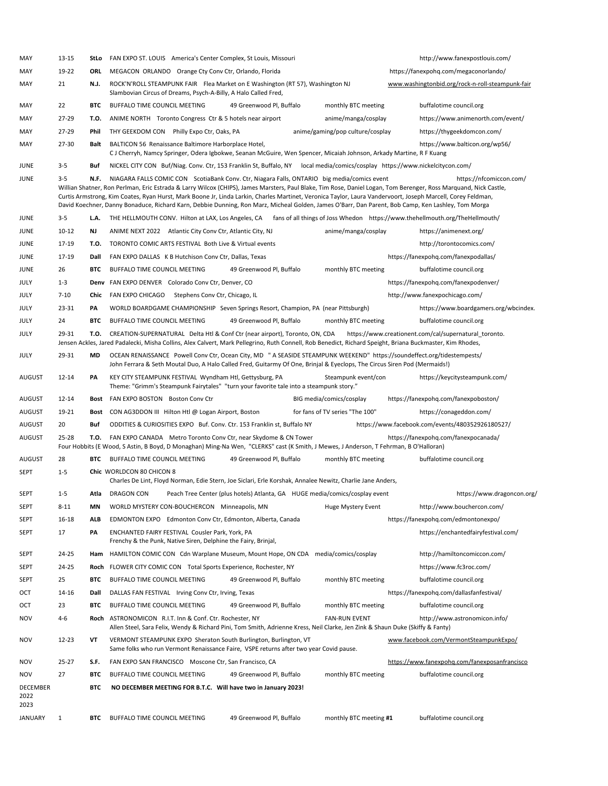| MAY                             | $13 - 15$                                                                                                                                                                                                                                                                                                                                                                                                                                                                                                                                                                                                                          | <b>StLo</b> | FAN EXPO ST. LOUIS America's Center Complex, St Louis, Missouri                                                                                                                                                                                                                                |  | http://www.fanexpostlouis.com/                   |  |  |
|---------------------------------|------------------------------------------------------------------------------------------------------------------------------------------------------------------------------------------------------------------------------------------------------------------------------------------------------------------------------------------------------------------------------------------------------------------------------------------------------------------------------------------------------------------------------------------------------------------------------------------------------------------------------------|-------------|------------------------------------------------------------------------------------------------------------------------------------------------------------------------------------------------------------------------------------------------------------------------------------------------|--|--------------------------------------------------|--|--|
| MAY                             | 19-22                                                                                                                                                                                                                                                                                                                                                                                                                                                                                                                                                                                                                              | <b>ORL</b>  | MEGACON ORLANDO Orange Cty Conv Ctr, Orlando, Florida                                                                                                                                                                                                                                          |  | https://fanexpohq.com/megaconorlando/            |  |  |
| MAY                             | 21                                                                                                                                                                                                                                                                                                                                                                                                                                                                                                                                                                                                                                 | <b>N.J.</b> | ROCK'N'ROLL STEAMPUNK FAIR Flea Market on E Washington (RT 57), Washington NJ<br>Slambovian Circus of Dreams, Psych-A-Billy, A Halo Called Fred,                                                                                                                                               |  | www.washingtonbid.org/rock-n-roll-steampunk-fair |  |  |
| MAY                             | 22                                                                                                                                                                                                                                                                                                                                                                                                                                                                                                                                                                                                                                 | <b>BTC</b>  | BUFFALO TIME COUNCIL MEETING<br>49 Greenwood Pl, Buffalo<br>monthly BTC meeting                                                                                                                                                                                                                |  | buffalotime council.org                          |  |  |
| MAY                             | 27-29                                                                                                                                                                                                                                                                                                                                                                                                                                                                                                                                                                                                                              | T.O.        | ANIME NORTH Toronto Congress Ctr & 5 hotels near airport<br>anime/manga/cosplay                                                                                                                                                                                                                |  | https://www.animenorth.com/event/                |  |  |
| MAY                             | 27-29                                                                                                                                                                                                                                                                                                                                                                                                                                                                                                                                                                                                                              | <b>Phil</b> | THY GEEKDOM CON Philly Expo Ctr, Oaks, PA<br>anime/gaming/pop culture/cosplay                                                                                                                                                                                                                  |  | https://thygeekdomcon.com/                       |  |  |
| MAY                             | 27-30                                                                                                                                                                                                                                                                                                                                                                                                                                                                                                                                                                                                                              | <b>Balt</b> | BALTICON 56 Renaissance Baltimore Harborplace Hotel,<br>CJ Cherryh, Namcy Springer, Odera Igbokwe, Seanan McGuire, Wen Spencer, Micaiah Johnson, Arkady Martine, R F Kuang                                                                                                                     |  | https://www.balticon.org/wp56/                   |  |  |
| <b>JUNE</b>                     | $3 - 5$                                                                                                                                                                                                                                                                                                                                                                                                                                                                                                                                                                                                                            | <b>Buf</b>  | NICKEL CITY CON Buf/Niag. Conv. Ctr, 153 Franklin St, Buffalo, NY local media/comics/cosplay https://www.nickelcitycon.com/                                                                                                                                                                    |  |                                                  |  |  |
| <b>JUNE</b>                     | $3 - 5$<br>NIAGARA FALLS COMIC CON ScotiaBank Conv. Ctr, Niagara Falls, ONTARIO big media/comics event<br>https://nfcomiccon.com/<br>N.F.<br>Willian Shatner, Ron Perlman, Eric Estrada & Larry Wilcox (CHIPS), James Marsters, Paul Blake, Tim Rose, Daniel Logan, Tom Berenger, Ross Marquand, Nick Castle,<br>Curtis Armstrong, Kim Coates, Ryan Hurst, Mark Boone Jr, Linda Larkin, Charles Martinet, Veronica Taylor, Laura Vandervoort, Joseph Marcell, Corey Feldman,<br>David Koechner, Danny Bonaduce, Richard Karn, Debbie Dunning, Ron Marz, Micheal Golden, James O'Barr, Dan Parent, Bob Camp, Ken Lashley, Tom Morga |             |                                                                                                                                                                                                                                                                                                |  |                                                  |  |  |
| JUNE                            | $3 - 5$                                                                                                                                                                                                                                                                                                                                                                                                                                                                                                                                                                                                                            | L.A.        | THE HELLMOUTH CONV. Hilton at LAX, Los Angeles, CA fans of all things of Joss Whedon https://www.thehellmouth.org/TheHellmouth/                                                                                                                                                                |  |                                                  |  |  |
| <b>JUNE</b>                     | $10-12$                                                                                                                                                                                                                                                                                                                                                                                                                                                                                                                                                                                                                            | <b>NJ</b>   | anime/manga/cosplay<br>ANIME NEXT 2022 Atlantic City Conv Ctr, Atlantic City, NJ                                                                                                                                                                                                               |  | https://animenext.org/                           |  |  |
| <b>JUNE</b>                     | 17-19                                                                                                                                                                                                                                                                                                                                                                                                                                                                                                                                                                                                                              | <b>T.O.</b> | TORONTO COMIC ARTS FESTIVAL Both Live & Virtual events                                                                                                                                                                                                                                         |  | http://torontocomics.com/                        |  |  |
| <b>JUNE</b>                     | 17-19                                                                                                                                                                                                                                                                                                                                                                                                                                                                                                                                                                                                                              | Dall        | FAN EXPO DALLAS K B Hutchison Conv Ctr, Dallas, Texas                                                                                                                                                                                                                                          |  | https://fanexpohq.com/fanexpodallas/             |  |  |
| <b>JUNE</b>                     | 26                                                                                                                                                                                                                                                                                                                                                                                                                                                                                                                                                                                                                                 | <b>BTC</b>  | BUFFALO TIME COUNCIL MEETING<br>monthly BTC meeting<br>49 Greenwood Pl, Buffalo                                                                                                                                                                                                                |  | buffalotime council.org                          |  |  |
| JULY                            | $1 - 3$                                                                                                                                                                                                                                                                                                                                                                                                                                                                                                                                                                                                                            |             | Denv FAN EXPO DENVER Colorado Conv Ctr, Denver, CO                                                                                                                                                                                                                                             |  | https://fanexpohq.com/fanexpodenver/             |  |  |
| JULY                            | $7 - 10$                                                                                                                                                                                                                                                                                                                                                                                                                                                                                                                                                                                                                           | Chic        | FAN EXPO CHICAGO<br>Stephens Conv Ctr, Chicago, IL                                                                                                                                                                                                                                             |  | http://www.fanexpochicago.com/                   |  |  |
| JULY                            | $23 - 31$                                                                                                                                                                                                                                                                                                                                                                                                                                                                                                                                                                                                                          | PA          | WORLD BOARDGAME CHAMPIONSHIP Seven Springs Resort, Champion, PA (near Pittsburgh)                                                                                                                                                                                                              |  | https://www.boardgamers.org/wbcindex.            |  |  |
| JULY                            | 24                                                                                                                                                                                                                                                                                                                                                                                                                                                                                                                                                                                                                                 | <b>BTC</b>  | BUFFALO TIME COUNCIL MEETING<br>49 Greenwood Pl, Buffalo<br>monthly BTC meeting                                                                                                                                                                                                                |  | buffalotime council.org                          |  |  |
| JULY                            | 29-31                                                                                                                                                                                                                                                                                                                                                                                                                                                                                                                                                                                                                              | T.O.        | CREATION-SUPERNATURAL Delta Htl & Conf Ctr (near airport), Toronto, ON, CDA https://www.creationent.com/cal/supernatural_toronto.<br>Jensen Ackles, Jared Padalecki, Misha Collins, Alex Calvert, Mark Pellegrino, Ruth Connell, Rob Benedict, Richard Speight, Briana Buckmaster, Kim Rhodes, |  |                                                  |  |  |
| JULY                            | 29-31                                                                                                                                                                                                                                                                                                                                                                                                                                                                                                                                                                                                                              | <b>MD</b>   | OCEAN RENAISSANCE Powell Conv Ctr, Ocean City, MD " A SEASIDE STEAMPUNK WEEKEND" https://soundeffect.org/tidestempests/<br>John Ferrara & Seth Moutal Duo, A Halo Called Fred, Guitarmy Of One, Brinjal & Eyeclops, The Circus Siren Pod (Mermaids!)                                           |  |                                                  |  |  |
| <b>AUGUST</b>                   | $12 - 14$                                                                                                                                                                                                                                                                                                                                                                                                                                                                                                                                                                                                                          | PA          | KEY CITY STEAMPUNK FESTIVAL Wyndham Htl, Gettysburg, PA<br>Steampunk event/con<br>Theme: "Grimm's Steampunk Fairytales" "turn your favorite tale into a steampunk story."                                                                                                                      |  | https://keycitysteampunk.com/                    |  |  |
| <b>AUGUST</b>                   | $12 - 14$                                                                                                                                                                                                                                                                                                                                                                                                                                                                                                                                                                                                                          |             | BIG media/comics/cosplay<br>Bost FAN EXPO BOSTON Boston Conv Ctr                                                                                                                                                                                                                               |  | https://fanexpohq.com/fanexpoboston/             |  |  |
| <b>AUGUST</b>                   | 19-21                                                                                                                                                                                                                                                                                                                                                                                                                                                                                                                                                                                                                              | Bost        | for fans of TV series "The 100"<br>CON AG3DDON III Hilton Htl @ Logan Airport, Boston                                                                                                                                                                                                          |  | https://conageddon.com/                          |  |  |
| <b>AUGUST</b>                   | 20                                                                                                                                                                                                                                                                                                                                                                                                                                                                                                                                                                                                                                 | Buf         | ODDITIES & CURIOSITIES EXPO Buf. Conv. Ctr. 153 Franklin st, Buffalo NY                                                                                                                                                                                                                        |  | https://www.facebook.com/events/480352926180527/ |  |  |
| <b>AUGUST</b>                   | $25 - 28$                                                                                                                                                                                                                                                                                                                                                                                                                                                                                                                                                                                                                          | <b>T.O.</b> | FAN EXPO CANADA Metro Toronto Conv Ctr, near Skydome & CN Tower                                                                                                                                                                                                                                |  | https://fanexpohq.com/fanexpocanada/             |  |  |
|                                 |                                                                                                                                                                                                                                                                                                                                                                                                                                                                                                                                                                                                                                    |             | Four Hobbits (E Wood, S Astin, B Boyd, D Monaghan) Ming-Na Wen, "CLERKS" cast (K Smith, J Mewes, J Anderson, T Fehrman, B O'Halloran)                                                                                                                                                          |  |                                                  |  |  |
| <b>AUGUST</b>                   | 28                                                                                                                                                                                                                                                                                                                                                                                                                                                                                                                                                                                                                                 | <b>BTC</b>  | 49 Greenwood Pl, Buffalo<br>monthly BTC meeting<br>BUFFALO TIME COUNCIL MEETING                                                                                                                                                                                                                |  | buffalotime council.org                          |  |  |
| <b>SEPT</b>                     | $1 - 5$                                                                                                                                                                                                                                                                                                                                                                                                                                                                                                                                                                                                                            |             | Chic WORLDCON 80 CHICON 8<br>Charles De Lint, Floyd Norman, Edie Stern, Joe Siclari, Erle Korshak, Annalee Newitz, Charlie Jane Anders,                                                                                                                                                        |  |                                                  |  |  |
| <b>SEPT</b>                     | $1 - 5$                                                                                                                                                                                                                                                                                                                                                                                                                                                                                                                                                                                                                            | Atla        | <b>DRAGON CON</b><br>Peach Tree Center (plus hotels) Atlanta, GA HUGE media/comics/cosplay event                                                                                                                                                                                               |  | https://www.dragoncon.org/                       |  |  |
| <b>SEPT</b>                     | $8 - 11$                                                                                                                                                                                                                                                                                                                                                                                                                                                                                                                                                                                                                           | ΜN          | WORLD MYSTERY CON-BOUCHERCON Minneapolis, MN<br>Huge Mystery Event                                                                                                                                                                                                                             |  | http://www.bouchercon.com/                       |  |  |
| <b>SEPT</b>                     | $16 - 18$                                                                                                                                                                                                                                                                                                                                                                                                                                                                                                                                                                                                                          | <b>ALB</b>  | EDMONTON EXPO Edmonton Conv Ctr, Edmonton, Alberta, Canada                                                                                                                                                                                                                                     |  | https://fanexpohq.com/edmontonexpo/              |  |  |
| <b>SEPT</b>                     | 17                                                                                                                                                                                                                                                                                                                                                                                                                                                                                                                                                                                                                                 | PA          | ENCHANTED FAIRY FESTIVAL Cousler Park, York, PA<br>Frenchy & the Punk, Native Siren, Delphine the Fairy, Brinjal,                                                                                                                                                                              |  | https://enchantedfairyfestival.com/              |  |  |
| <b>SEPT</b>                     | $24 - 25$                                                                                                                                                                                                                                                                                                                                                                                                                                                                                                                                                                                                                          |             | Ham HAMILTON COMIC CON Cdn Warplane Museum, Mount Hope, ON CDA media/comics/cosplay                                                                                                                                                                                                            |  | http://hamiltoncomiccon.com/                     |  |  |
| <b>SEPT</b>                     | $24 - 25$                                                                                                                                                                                                                                                                                                                                                                                                                                                                                                                                                                                                                          |             | Roch FLOWER CITY COMIC CON Total Sports Experience, Rochester, NY                                                                                                                                                                                                                              |  | https://www.fc3roc.com/                          |  |  |
| <b>SEPT</b>                     | 25                                                                                                                                                                                                                                                                                                                                                                                                                                                                                                                                                                                                                                 | <b>BTC</b>  | BUFFALO TIME COUNCIL MEETING<br>49 Greenwood Pl, Buffalo<br>monthly BTC meeting                                                                                                                                                                                                                |  | buffalotime council.org                          |  |  |
| OCT                             | 14-16                                                                                                                                                                                                                                                                                                                                                                                                                                                                                                                                                                                                                              | Dall        | DALLAS FAN FESTIVAL Irving Conv Ctr, Irving, Texas                                                                                                                                                                                                                                             |  | https://fanexpohq.com/dallasfanfestival/         |  |  |
| OCT                             | 23                                                                                                                                                                                                                                                                                                                                                                                                                                                                                                                                                                                                                                 |             | BUFFALO TIME COUNCIL MEETING<br>49 Greenwood Pl, Buffalo<br>monthly BTC meeting                                                                                                                                                                                                                |  | buffalotime council.org                          |  |  |
| <b>NOV</b>                      | $4 - 6$                                                                                                                                                                                                                                                                                                                                                                                                                                                                                                                                                                                                                            |             | Roch ASTRONOMICON R.I.T. Inn & Conf. Ctr. Rochester, NY<br><b>FAN-RUN EVENT</b><br>Allen Steel, Sara Felix, Wendy & Richard Pini, Tom Smith, Adrienne Kress, Neil Clarke, Jen Zink & Shaun Duke (Skiffy & Fanty)                                                                               |  | http://www.astronomicon.info/                    |  |  |
| <b>NOV</b>                      | $12 - 23$                                                                                                                                                                                                                                                                                                                                                                                                                                                                                                                                                                                                                          | VT          | VERMONT STEAMPUNK EXPO Sheraton South Burlington, Burlington, VT<br>Same folks who run Vermont Renaissance Faire, VSPE returns after two year Covid pause.                                                                                                                                     |  | www.facebook.com/VermontSteampunkExpo/           |  |  |
| <b>NOV</b>                      | $25 - 27$                                                                                                                                                                                                                                                                                                                                                                                                                                                                                                                                                                                                                          | S.F.        | FAN EXPO SAN FRANCISCO Moscone Ctr, San Francisco, CA                                                                                                                                                                                                                                          |  | https://www.fanexpohg.com/fanexposanfrancisco    |  |  |
| <b>NOV</b>                      | 27                                                                                                                                                                                                                                                                                                                                                                                                                                                                                                                                                                                                                                 | <b>BTC</b>  | BUFFALO TIME COUNCIL MEETING<br>49 Greenwood Pl, Buffalo<br>monthly BTC meeting                                                                                                                                                                                                                |  | buffalotime council.org                          |  |  |
| <b>DECEMBER</b><br>2022<br>2023 |                                                                                                                                                                                                                                                                                                                                                                                                                                                                                                                                                                                                                                    | <b>BTC</b>  | NO DECEMBER MEETING FOR B.T.C. Will have two in January 2023!                                                                                                                                                                                                                                  |  |                                                  |  |  |
| <b>JANUARY</b>                  | 1                                                                                                                                                                                                                                                                                                                                                                                                                                                                                                                                                                                                                                  | <b>BTC</b>  | BUFFALO TIME COUNCIL MEETING<br>49 Greenwood Pl, Buffalo<br>monthly BTC meeting #1                                                                                                                                                                                                             |  | buffalotime council.org                          |  |  |